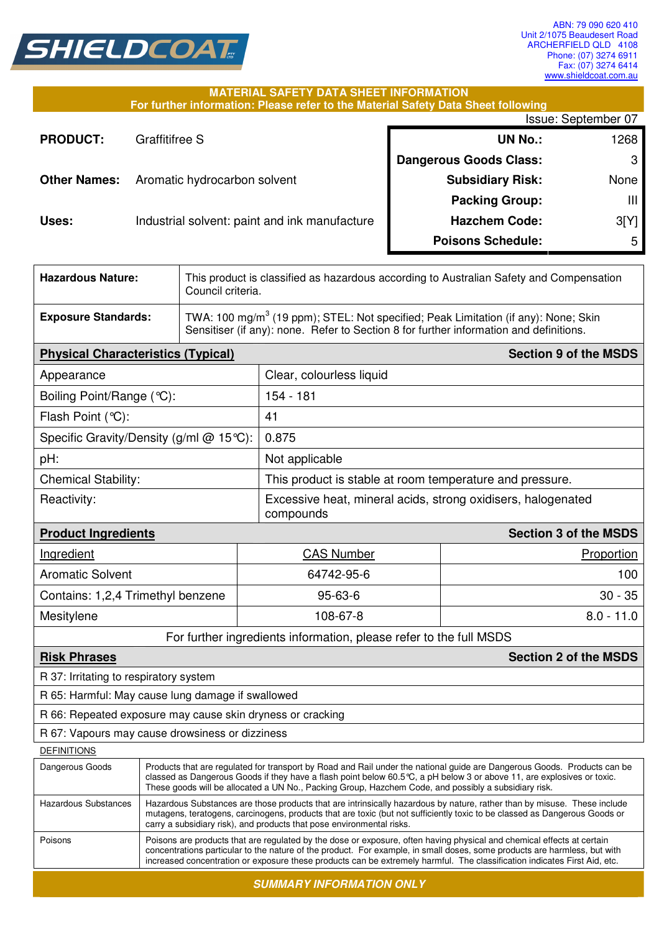

## **MATERIAL SAFETY DATA SHEET INFORMATION**

| For further information: Please refer to the Material Safety Data Sheet following |                                               |                               |                |
|-----------------------------------------------------------------------------------|-----------------------------------------------|-------------------------------|----------------|
|                                                                                   | Issue: September 07                           |                               |                |
| <b>PRODUCT:</b>                                                                   | Graffitifree S                                | <b>UN No.:</b>                | 1268           |
|                                                                                   |                                               | <b>Dangerous Goods Class:</b> | 3 <sub>1</sub> |
| <b>Other Names:</b>                                                               | Aromatic hydrocarbon solvent                  | <b>Subsidiary Risk:</b>       | None           |
|                                                                                   |                                               | <b>Packing Group:</b>         | Ш              |
| Uses:                                                                             | Industrial solvent: paint and ink manufacture | <b>Hazchem Code:</b>          | 3[Y]           |
|                                                                                   |                                               | <b>Poisons Schedule:</b>      | 5              |

| <b>Hazardous Nature:</b>                                                                                                                                                                                                                                                                                                                                                                    |                                                                                                                                                                                                                                                                                                                                                             | This product is classified as hazardous according to Australian Safety and Compensation<br>Council criteria. |                                                                    |                              |  |
|---------------------------------------------------------------------------------------------------------------------------------------------------------------------------------------------------------------------------------------------------------------------------------------------------------------------------------------------------------------------------------------------|-------------------------------------------------------------------------------------------------------------------------------------------------------------------------------------------------------------------------------------------------------------------------------------------------------------------------------------------------------------|--------------------------------------------------------------------------------------------------------------|--------------------------------------------------------------------|------------------------------|--|
| <b>Exposure Standards:</b>                                                                                                                                                                                                                                                                                                                                                                  | TWA: 100 mg/m <sup>3</sup> (19 ppm); STEL: Not specified; Peak Limitation (if any): None; Skin<br>Sensitiser (if any): none. Refer to Section 8 for further information and definitions.                                                                                                                                                                    |                                                                                                              |                                                                    |                              |  |
| <b>Physical Characteristics (Typical)</b>                                                                                                                                                                                                                                                                                                                                                   |                                                                                                                                                                                                                                                                                                                                                             |                                                                                                              |                                                                    | <b>Section 9 of the MSDS</b> |  |
| Appearance                                                                                                                                                                                                                                                                                                                                                                                  |                                                                                                                                                                                                                                                                                                                                                             |                                                                                                              | Clear, colourless liquid                                           |                              |  |
| Boiling Point/Range (°C):                                                                                                                                                                                                                                                                                                                                                                   |                                                                                                                                                                                                                                                                                                                                                             |                                                                                                              | 154 - 181                                                          |                              |  |
| Flash Point (°C):                                                                                                                                                                                                                                                                                                                                                                           |                                                                                                                                                                                                                                                                                                                                                             |                                                                                                              | 41                                                                 |                              |  |
| Specific Gravity/Density (g/ml $@$ 15°C):                                                                                                                                                                                                                                                                                                                                                   |                                                                                                                                                                                                                                                                                                                                                             |                                                                                                              | 0.875                                                              |                              |  |
| pH:                                                                                                                                                                                                                                                                                                                                                                                         |                                                                                                                                                                                                                                                                                                                                                             |                                                                                                              | Not applicable                                                     |                              |  |
| <b>Chemical Stability:</b>                                                                                                                                                                                                                                                                                                                                                                  |                                                                                                                                                                                                                                                                                                                                                             |                                                                                                              | This product is stable at room temperature and pressure.           |                              |  |
| Reactivity:                                                                                                                                                                                                                                                                                                                                                                                 |                                                                                                                                                                                                                                                                                                                                                             | Excessive heat, mineral acids, strong oxidisers, halogenated<br>compounds                                    |                                                                    |                              |  |
| <b>Product Ingredients</b>                                                                                                                                                                                                                                                                                                                                                                  |                                                                                                                                                                                                                                                                                                                                                             |                                                                                                              |                                                                    | <b>Section 3 of the MSDS</b> |  |
| Ingredient                                                                                                                                                                                                                                                                                                                                                                                  |                                                                                                                                                                                                                                                                                                                                                             |                                                                                                              | <b>CAS Number</b>                                                  | Proportion                   |  |
| <b>Aromatic Solvent</b>                                                                                                                                                                                                                                                                                                                                                                     |                                                                                                                                                                                                                                                                                                                                                             | 64742-95-6                                                                                                   | 100                                                                |                              |  |
| Contains: 1,2,4 Trimethyl benzene                                                                                                                                                                                                                                                                                                                                                           |                                                                                                                                                                                                                                                                                                                                                             | $95 - 63 - 6$                                                                                                |                                                                    | $30 - 35$                    |  |
| Mesitylene                                                                                                                                                                                                                                                                                                                                                                                  |                                                                                                                                                                                                                                                                                                                                                             | 108-67-8                                                                                                     |                                                                    | $8.0 - 11.0$                 |  |
|                                                                                                                                                                                                                                                                                                                                                                                             |                                                                                                                                                                                                                                                                                                                                                             |                                                                                                              | For further ingredients information, please refer to the full MSDS |                              |  |
| <b>Risk Phrases</b>                                                                                                                                                                                                                                                                                                                                                                         |                                                                                                                                                                                                                                                                                                                                                             |                                                                                                              |                                                                    | <b>Section 2 of the MSDS</b> |  |
| R 37: Irritating to respiratory system                                                                                                                                                                                                                                                                                                                                                      |                                                                                                                                                                                                                                                                                                                                                             |                                                                                                              |                                                                    |                              |  |
| R 65: Harmful: May cause lung damage if swallowed                                                                                                                                                                                                                                                                                                                                           |                                                                                                                                                                                                                                                                                                                                                             |                                                                                                              |                                                                    |                              |  |
| R 66: Repeated exposure may cause skin dryness or cracking                                                                                                                                                                                                                                                                                                                                  |                                                                                                                                                                                                                                                                                                                                                             |                                                                                                              |                                                                    |                              |  |
| R 67: Vapours may cause drowsiness or dizziness                                                                                                                                                                                                                                                                                                                                             |                                                                                                                                                                                                                                                                                                                                                             |                                                                                                              |                                                                    |                              |  |
| <b>DEFINITIONS</b>                                                                                                                                                                                                                                                                                                                                                                          |                                                                                                                                                                                                                                                                                                                                                             |                                                                                                              |                                                                    |                              |  |
| Dangerous Goods                                                                                                                                                                                                                                                                                                                                                                             | Products that are regulated for transport by Road and Rail under the national guide are Dangerous Goods. Products can be<br>classed as Dangerous Goods if they have a flash point below 60.5 °C, a pH below 3 or above 11, are explosives or toxic.<br>These goods will be allocated a UN No., Packing Group, Hazchem Code, and possibly a subsidiary risk. |                                                                                                              |                                                                    |                              |  |
| <b>Hazardous Substances</b>                                                                                                                                                                                                                                                                                                                                                                 | Hazardous Substances are those products that are intrinsically hazardous by nature, rather than by misuse. These include<br>mutagens, teratogens, carcinogens, products that are toxic (but not sufficiently toxic to be classed as Dangerous Goods or<br>carry a subsidiary risk), and products that pose environmental risks.                             |                                                                                                              |                                                                    |                              |  |
| Poisons<br>Poisons are products that are regulated by the dose or exposure, often having physical and chemical effects at certain<br>concentrations particular to the nature of the product. For example, in small doses, some products are harmless, but with<br>increased concentration or exposure these products can be extremely harmful. The classification indicates First Aid, etc. |                                                                                                                                                                                                                                                                                                                                                             |                                                                                                              |                                                                    |                              |  |
| <b>SUMMARY INFORMATION ONLY</b>                                                                                                                                                                                                                                                                                                                                                             |                                                                                                                                                                                                                                                                                                                                                             |                                                                                                              |                                                                    |                              |  |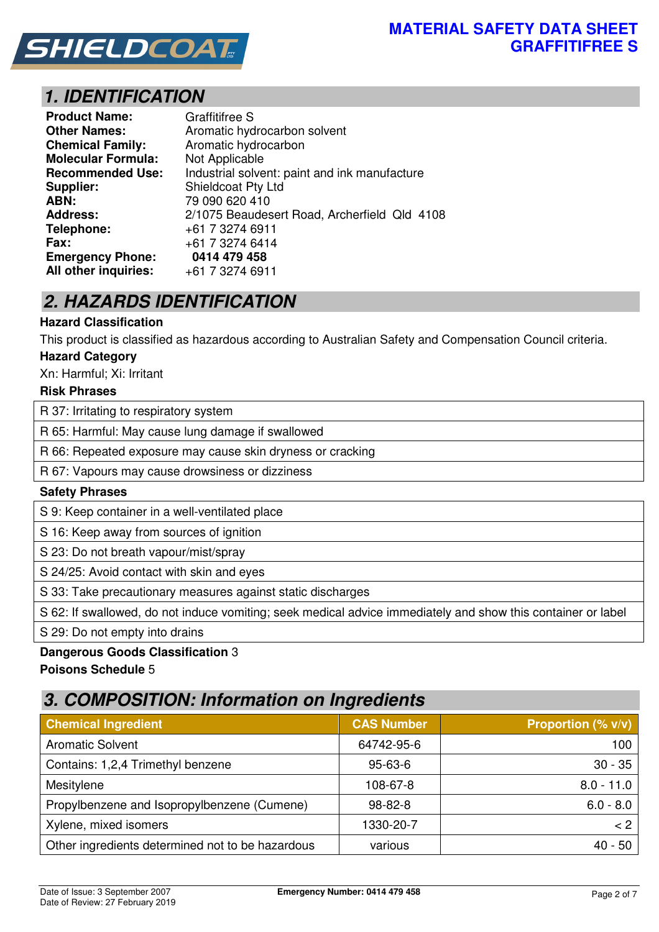

# **1. IDENTIFICATION**

| <b>Product Name:</b>      | <b>Graffitifree S</b>                         |  |  |
|---------------------------|-----------------------------------------------|--|--|
| <b>Other Names:</b>       | Aromatic hydrocarbon solvent                  |  |  |
| <b>Chemical Family:</b>   | Aromatic hydrocarbon                          |  |  |
| <b>Molecular Formula:</b> | Not Applicable                                |  |  |
| <b>Recommended Use:</b>   | Industrial solvent: paint and ink manufacture |  |  |
| Supplier:                 | Shieldcoat Pty Ltd                            |  |  |
| ABN:                      | 79 090 620 410                                |  |  |
| <b>Address:</b>           | 2/1075 Beaudesert Road, Archerfield Qld 4108  |  |  |
| Telephone:                | +61 7 3274 6911                               |  |  |
| Fax:                      | +61 7 3274 6414                               |  |  |
| <b>Emergency Phone:</b>   | 0414 479 458                                  |  |  |
| All other inquiries:      | +61 7 3274 6911                               |  |  |

# **2. HAZARDS IDENTIFICATION**

## **Hazard Classification**

This product is classified as hazardous according to Australian Safety and Compensation Council criteria.

#### **Hazard Category**

Xn: Harmful; Xi: Irritant

#### **Risk Phrases**

R 37: Irritating to respiratory system

R 65: Harmful: May cause lung damage if swallowed

R 66: Repeated exposure may cause skin dryness or cracking

R 67: Vapours may cause drowsiness or dizziness

#### **Safety Phrases**

S 9: Keep container in a well-ventilated place

S 16: Keep away from sources of ignition

S 23: Do not breath vapour/mist/spray

S 24/25: Avoid contact with skin and eyes

S 33: Take precautionary measures against static discharges

S 62: If swallowed, do not induce vomiting; seek medical advice immediately and show this container or label

S 29: Do not empty into drains

## **Dangerous Goods Classification** 3

**Poisons Schedule** 5

## **3. COMPOSITION: Information on Ingredients**

| <b>Chemical Ingredient</b>                       | <b>CAS Number</b> | <b>Proportion (% <math>v/v</math>)</b> |
|--------------------------------------------------|-------------------|----------------------------------------|
| <b>Aromatic Solvent</b>                          | 64742-95-6        | 100                                    |
| Contains: 1,2,4 Trimethyl benzene                | $95 - 63 - 6$     | $30 - 35$                              |
| Mesitylene                                       | 108-67-8          | $8.0 - 11.0$                           |
| Propylbenzene and Isopropylbenzene (Cumene)      | $98 - 82 - 8$     | $6.0 - 8.0$                            |
| Xylene, mixed isomers                            | 1330-20-7         | < 2                                    |
| Other ingredients determined not to be hazardous | various           | 40 - 50                                |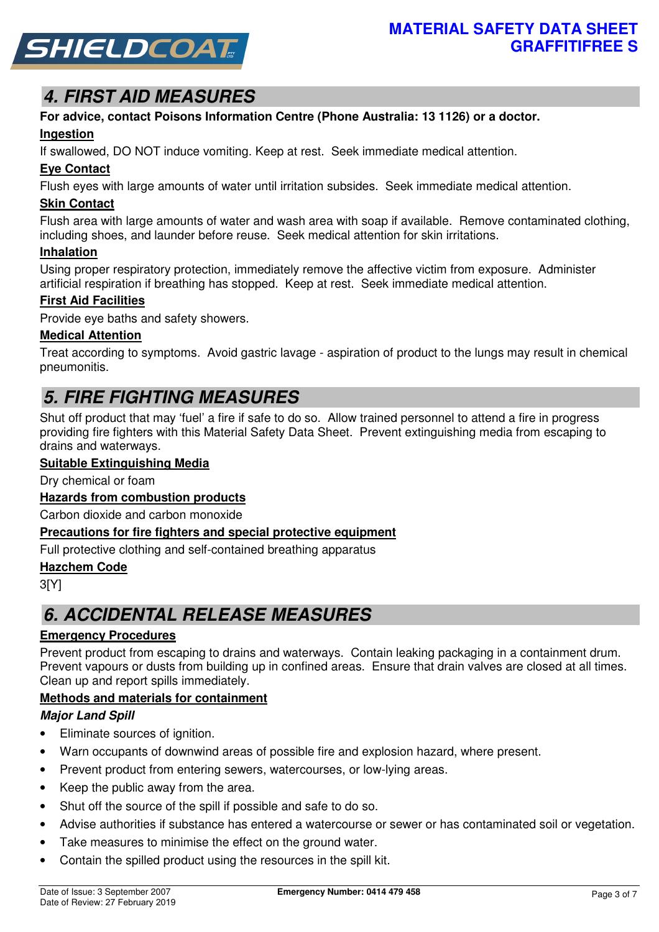

# **4. FIRST AID MEASURES**

# **For advice, contact Poisons Information Centre (Phone Australia: 13 1126) or a doctor.**

## **Ingestion**

If swallowed, DO NOT induce vomiting. Keep at rest. Seek immediate medical attention.

## **Eye Contact**

Flush eyes with large amounts of water until irritation subsides. Seek immediate medical attention.

## **Skin Contact**

Flush area with large amounts of water and wash area with soap if available. Remove contaminated clothing, including shoes, and launder before reuse. Seek medical attention for skin irritations.

#### **Inhalation**

Using proper respiratory protection, immediately remove the affective victim from exposure. Administer artificial respiration if breathing has stopped. Keep at rest. Seek immediate medical attention.

## **First Aid Facilities**

Provide eye baths and safety showers.

## **Medical Attention**

Treat according to symptoms. Avoid gastric lavage - aspiration of product to the lungs may result in chemical pneumonitis.

# **5. FIRE FIGHTING MEASURES**

Shut off product that may 'fuel' a fire if safe to do so. Allow trained personnel to attend a fire in progress providing fire fighters with this Material Safety Data Sheet. Prevent extinguishing media from escaping to drains and waterways.

## **Suitable Extinguishing Media**

Dry chemical or foam

## **Hazards from combustion products**

Carbon dioxide and carbon monoxide

#### **Precautions for fire fighters and special protective equipment**

Full protective clothing and self-contained breathing apparatus

#### **Hazchem Code**

3[Y]

## **6. ACCIDENTAL RELEASE MEASURES**

## **Emergency Procedures**

Prevent product from escaping to drains and waterways. Contain leaking packaging in a containment drum. Prevent vapours or dusts from building up in confined areas. Ensure that drain valves are closed at all times. Clean up and report spills immediately.

## **Methods and materials for containment**

## **Major Land Spill**

- Eliminate sources of ignition.
- Warn occupants of downwind areas of possible fire and explosion hazard, where present.
- Prevent product from entering sewers, watercourses, or low-lying areas.
- Keep the public away from the area.
- Shut off the source of the spill if possible and safe to do so.
- Advise authorities if substance has entered a watercourse or sewer or has contaminated soil or vegetation.
- Take measures to minimise the effect on the ground water.
- Contain the spilled product using the resources in the spill kit.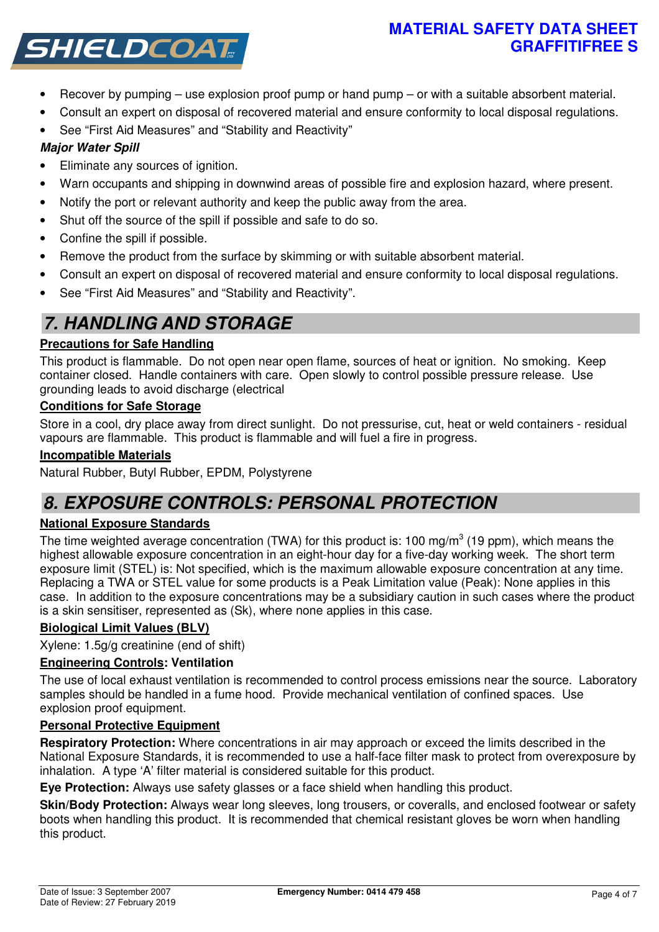## **MATERIAL SAFETY DATA SHEET GRAFFITIFREE S**



- Recover by pumping use explosion proof pump or hand pump or with a suitable absorbent material.
- Consult an expert on disposal of recovered material and ensure conformity to local disposal regulations.
- See "First Aid Measures" and "Stability and Reactivity"

## **Major Water Spill**

- Eliminate any sources of ignition.
- Warn occupants and shipping in downwind areas of possible fire and explosion hazard, where present.
- Notify the port or relevant authority and keep the public away from the area.
- Shut off the source of the spill if possible and safe to do so.
- Confine the spill if possible.
- Remove the product from the surface by skimming or with suitable absorbent material.
- Consult an expert on disposal of recovered material and ensure conformity to local disposal regulations.
- See "First Aid Measures" and "Stability and Reactivity".

# **7. HANDLING AND STORAGE**

## **Precautions for Safe Handling**

This product is flammable. Do not open near open flame, sources of heat or ignition. No smoking. Keep container closed. Handle containers with care. Open slowly to control possible pressure release. Use grounding leads to avoid discharge (electrical

## **Conditions for Safe Storage**

Store in a cool, dry place away from direct sunlight. Do not pressurise, cut, heat or weld containers - residual vapours are flammable. This product is flammable and will fuel a fire in progress.

## **Incompatible Materials**

Natural Rubber, Butyl Rubber, EPDM, Polystyrene

## **8. EXPOSURE CONTROLS: PERSONAL PROTECTION**

## **National Exposure Standards**

The time weighted average concentration (TWA) for this product is: 100 mg/m<sup>3</sup> (19 ppm), which means the highest allowable exposure concentration in an eight-hour day for a five-day working week. The short term exposure limit (STEL) is: Not specified, which is the maximum allowable exposure concentration at any time. Replacing a TWA or STEL value for some products is a Peak Limitation value (Peak): None applies in this case. In addition to the exposure concentrations may be a subsidiary caution in such cases where the product is a skin sensitiser, represented as (Sk), where none applies in this case.

## **Biological Limit Values (BLV)**

Xylene: 1.5g/g creatinine (end of shift)

## **Engineering Controls: Ventilation**

The use of local exhaust ventilation is recommended to control process emissions near the source. Laboratory samples should be handled in a fume hood. Provide mechanical ventilation of confined spaces. Use explosion proof equipment.

## **Personal Protective Equipment**

**Respiratory Protection:** Where concentrations in air may approach or exceed the limits described in the National Exposure Standards, it is recommended to use a half-face filter mask to protect from overexposure by inhalation. A type 'A' filter material is considered suitable for this product.

**Eye Protection:** Always use safety glasses or a face shield when handling this product.

**Skin/Body Protection:** Always wear long sleeves, long trousers, or coveralls, and enclosed footwear or safety boots when handling this product. It is recommended that chemical resistant gloves be worn when handling this product.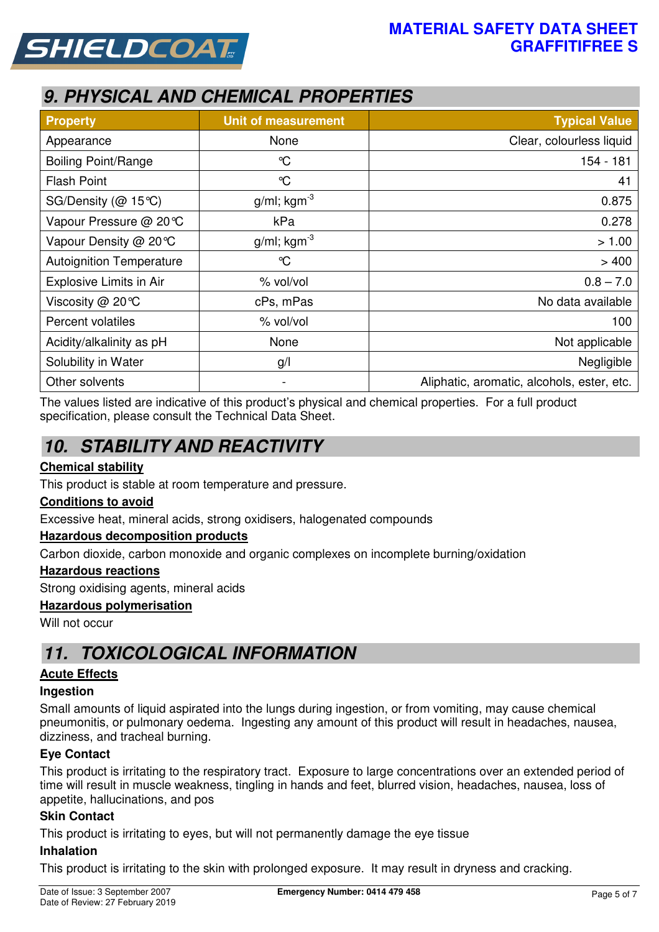



# **9. PHYSICAL AND CHEMICAL PROPERTIES**

| <b>Property</b>                 | <b>Unit of measurement</b> | <b>Typical Value</b>                       |  |
|---------------------------------|----------------------------|--------------------------------------------|--|
| Appearance                      | None                       | Clear, colourless liquid                   |  |
| <b>Boiling Point/Range</b>      | $\mathrm{C}$               | 154 - 181                                  |  |
| <b>Flash Point</b>              | $\mathrm{C}$               | 41                                         |  |
| SG/Density (@ 15℃)              | $g/ml$ ; kgm <sup>-3</sup> | 0.875                                      |  |
| Vapour Pressure @ 20℃           | kPa                        | 0.278                                      |  |
| Vapour Density @ 20 °C          | $g/ml$ ; kgm <sup>-3</sup> | > 1.00                                     |  |
| <b>Autoignition Temperature</b> | $\mathrm{C}$               | >400                                       |  |
| Explosive Limits in Air         | % vol/vol                  | $0.8 - 7.0$                                |  |
| Viscosity @ 20°C                | cPs, mPas                  | No data available                          |  |
| Percent volatiles               | % vol/vol                  | 100                                        |  |
| Acidity/alkalinity as pH        | None                       | Not applicable                             |  |
| Solubility in Water             | g/                         | Negligible                                 |  |
| Other solvents                  | $\blacksquare$             | Aliphatic, aromatic, alcohols, ester, etc. |  |

The values listed are indicative of this product's physical and chemical properties. For a full product specification, please consult the Technical Data Sheet.

# **10. STABILITY AND REACTIVITY**

## **Chemical stability**

This product is stable at room temperature and pressure.

#### **Conditions to avoid**

Excessive heat, mineral acids, strong oxidisers, halogenated compounds

#### **Hazardous decomposition products**

Carbon dioxide, carbon monoxide and organic complexes on incomplete burning/oxidation

#### **Hazardous reactions**

Strong oxidising agents, mineral acids

#### **Hazardous polymerisation**

Will not occur

## **11. TOXICOLOGICAL INFORMATION**

#### **Acute Effects**

#### **Ingestion**

Small amounts of liquid aspirated into the lungs during ingestion, or from vomiting, may cause chemical pneumonitis, or pulmonary oedema. Ingesting any amount of this product will result in headaches, nausea, dizziness, and tracheal burning.

#### **Eye Contact**

This product is irritating to the respiratory tract. Exposure to large concentrations over an extended period of time will result in muscle weakness, tingling in hands and feet, blurred vision, headaches, nausea, loss of appetite, hallucinations, and pos

#### **Skin Contact**

This product is irritating to eyes, but will not permanently damage the eye tissue

#### **Inhalation**

This product is irritating to the skin with prolonged exposure. It may result in dryness and cracking.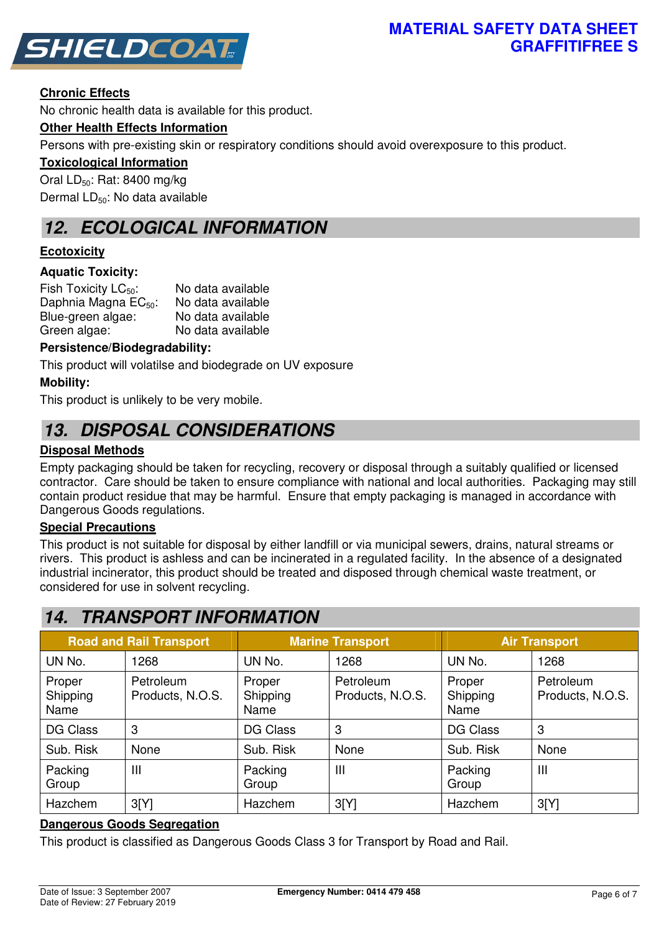



#### **Chronic Effects**

No chronic health data is available for this product.

#### **Other Health Effects Information**

Persons with pre-existing skin or respiratory conditions should avoid overexposure to this product.

#### **Toxicological Information**

Oral  $LD_{50}$ : Rat: 8400 mg/kg Dermal  $LD_{50}$ : No data available

## **12. ECOLOGICAL INFORMATION**

#### **Ecotoxicity**

#### **Aquatic Toxicity:**

Fish Toxicity  $LC_{50}$ : No data available Daphnia Magna  $EC_{50}$ : No data available Blue-green algae: No data available Green algae: No data available

#### **Persistence/Biodegradability:**

This product will volatilse and biodegrade on UV exposure

#### **Mobility:**

This product is unlikely to be very mobile.

## **13. DISPOSAL CONSIDERATIONS**

#### **Disposal Methods**

Empty packaging should be taken for recycling, recovery or disposal through a suitably qualified or licensed contractor. Care should be taken to ensure compliance with national and local authorities. Packaging may still contain product residue that may be harmful. Ensure that empty packaging is managed in accordance with Dangerous Goods regulations.

#### **Special Precautions**

This product is not suitable for disposal by either landfill or via municipal sewers, drains, natural streams or rivers. This product is ashless and can be incinerated in a regulated facility. In the absence of a designated industrial incinerator, this product should be treated and disposed through chemical waste treatment, or considered for use in solvent recycling.

## **14. TRANSPORT INFORMATION**

| <b>Road and Rail Transport</b> |                               | <b>Marine Transport</b>    |                               | <b>Air Transport</b>       |                               |
|--------------------------------|-------------------------------|----------------------------|-------------------------------|----------------------------|-------------------------------|
| UN No.                         | 1268                          | UN No.                     | 1268                          | UN No.                     | 1268                          |
| Proper<br>Shipping<br>Name     | Petroleum<br>Products, N.O.S. | Proper<br>Shipping<br>Name | Petroleum<br>Products, N.O.S. | Proper<br>Shipping<br>Name | Petroleum<br>Products, N.O.S. |
| <b>DG Class</b>                | 3                             | DG Class                   | 3                             | DG Class                   | 3                             |
| Sub. Risk                      | None                          | Sub. Risk                  | None                          | Sub. Risk                  | None                          |
| Packing<br>Group               | $\mathbf{III}$                | Packing<br>Group           | $\mathbf{III}$                | Packing<br>Group           | Ш                             |
| Hazchem                        | 3[Y]                          | Hazchem                    | 3[Y]                          | Hazchem                    | 3[Y]                          |

#### **Dangerous Goods Segregation**

This product is classified as Dangerous Goods Class 3 for Transport by Road and Rail.